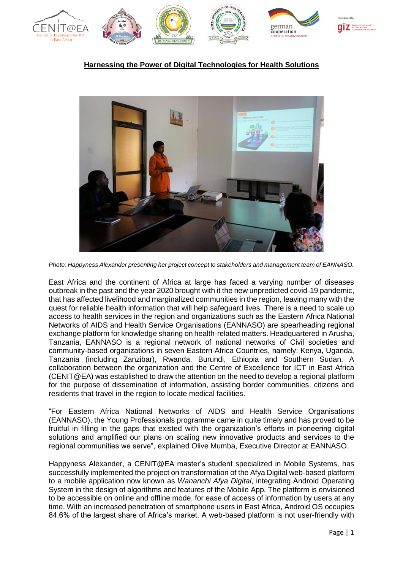

## **Harnessing the Power of Digital Technologies for Health Solutions**



*Photo: Happyness Alexander presenting her project concept to stakeholders and management team of EANNASO.*

East Africa and the continent of Africa at large has faced a varying number of diseases outbreak in the past and the year 2020 brought with it the new unpredicted covid-19 pandemic, that has affected livelihood and marginalized communities in the region, leaving many with the quest for reliable health information that will help safeguard lives. There is a need to scale up access to health services in the region and organizations such as the Eastern Africa National Networks of AIDS and Health Service Organisations (EANNASO) are spearheading regional exchange platform for knowledge sharing on health-related matters. Headquartered in Arusha, Tanzania, EANNASO is a regional network of national networks of Civil societies and community-based organizations in seven Eastern Africa Countries, namely: Kenya, Uganda, Tanzania (including Zanzibar), Rwanda, Burundi, Ethiopia and Southern Sudan. A collaboration between the organization and the Centre of Excellence for ICT in East Africa (CENIT@EA) was established to draw the attention on the need to develop a regional platform for the purpose of dissemination of information, assisting border communities, citizens and residents that travel in the region to locate medical facilities.

"For Eastern Africa National Networks of AIDS and Health Service Organisations (EANNASO), the Young Professionals programme came in quite timely and has proved to be fruitful in filling in the gaps that existed with the organization's efforts in pioneering digital solutions and amplified our plans on scaling new innovative products and services to the regional communities we serve", explained Olive Mumba, Executive Director at EANNASO.

Happyness Alexander, a CENIT@EA master's student specialized in Mobile Systems, has successfully implemented the project on transformation of the Afya Digital web-based platform to a mobile application now known as *Wananchi Afya Digital*, integrating Android Operating System in the design of algorithms and features of the Mobile App. The platform is envisioned to be accessible on online and offline mode, for ease of access of information by users at any time. With an increased penetration of smartphone users in East Africa, Android OS occupies 84.6% of the largest share of Africa's market. A web-based platform is not user-friendly with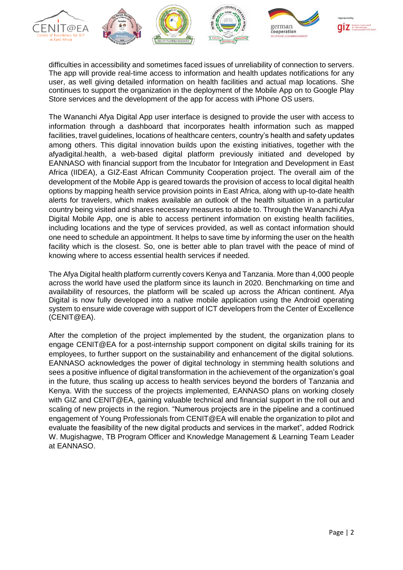

difficulties in accessibility and sometimes faced issues of unreliability of connection to servers. The app will provide real-time access to information and health updates notifications for any user, as well giving detailed information on health facilities and actual map locations. She continues to support the organization in the deployment of the Mobile App on to Google Play Store services and the development of the app for access with iPhone OS users.

The Wananchi Afya Digital App user interface is designed to provide the user with access to information through a dashboard that incorporates health information such as mapped facilities, travel guidelines, locations of healthcare centers, country's health and safety updates among others. This digital innovation builds upon the existing initiatives, together with the afyadigital.health, a web-based digital platform previously initiated and developed by EANNASO with financial support from the Incubator for Integration and Development in East Africa (IIDEA), a GIZ-East African Community Cooperation project. The overall aim of the development of the Mobile App is geared towards the provision of access to local digital health options by mapping health service provision points in East Africa, along with up-to-date health alerts for travelers, which makes available an outlook of the health situation in a particular country being visited and shares necessary measures to abide to. Through the Wananchi Afya Digital Mobile App, one is able to access pertinent information on existing health facilities, including locations and the type of services provided, as well as contact information should one need to schedule an appointment. It helps to save time by informing the user on the health facility which is the closest. So, one is better able to plan travel with the peace of mind of knowing where to access essential health services if needed.

The Afya Digital health platform currently covers Kenya and Tanzania. More than 4,000 people across the world have used the platform since its launch in 2020. Benchmarking on time and availability of resources, the platform will be scaled up across the African continent. Afya Digital is now fully developed into a native mobile application using the Android operating system to ensure wide coverage with support of ICT developers from the Center of Excellence (CENIT@EA).

After the completion of the project implemented by the student, the organization plans to engage CENIT@EA for a post-internship support component on digital skills training for its employees, to further support on the sustainability and enhancement of the digital solutions. EANNASO acknowledges the power of digital technology in stemming health solutions and sees a positive influence of digital transformation in the achievement of the organization's goal in the future, thus scaling up access to health services beyond the borders of Tanzania and Kenya. With the success of the projects implemented, EANNASO plans on working closely with GIZ and CENIT@EA, gaining valuable technical and financial support in the roll out and scaling of new projects in the region. "Numerous projects are in the pipeline and a continued engagement of Young Professionals from CENIT@EA will enable the organization to pilot and evaluate the feasibility of the new digital products and services in the market", added Rodrick W. Mugishagwe, TB Program Officer and Knowledge Management & Learning Team Leader at EANNASO.